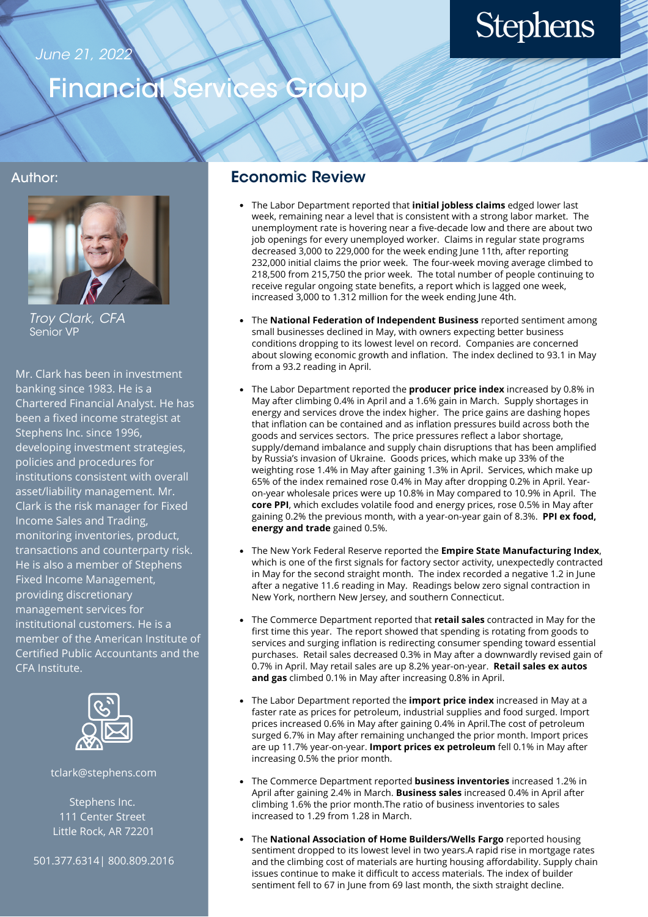### June 21, 2022

# **Stephens**

## Financial Services Group

#### Author:



Troy Clark, CFA Senior VP

Mr. Clark has been in investment banking since 1983. He is a Chartered Financial Analyst. He has been a fixed income strategist at Stephens Inc. since 1996, developing investment strategies, policies and procedures for institutions consistent with overall asset/liability management. Mr. Clark is the risk manager for Fixed Income Sales and Trading, monitoring inventories, product, transactions and counterparty risk. He is also a member of Stephens Fixed Income Management, providing discretionary management services for institutional customers. He is a member of the American Institute of Certified Public Accountants and the CFA Institute.



tclark@stephens.com

Stephens Inc. 111 Center Street Little Rock, AR 72201

501.377.6314| 800.809.2016

### Economic Review

- The Labor Department reported that **initial jobless claims** edged lower last week, remaining near a level that is consistent with a strong labor market. The unemployment rate is hovering near a five-decade low and there are about two job openings for every unemployed worker. Claims in regular state programs decreased 3,000 to 229,000 for the week ending June 11th, after reporting 232,000 initial claims the prior week. The four-week moving average climbed to 218,500 from 215,750 the prior week. The total number of people continuing to receive regular ongoing state benefits, a report which is lagged one week, increased 3,000 to 1.312 million for the week ending June 4th.
- The **National Federation of Independent Business** reported sentiment among small businesses declined in May, with owners expecting better business conditions dropping to its lowest level on record. Companies are concerned about slowing economic growth and inflation. The index declined to 93.1 in May from a 93.2 reading in April.
- The Labor Department reported the **producer price index** increased by 0.8% in May after climbing 0.4% in April and a 1.6% gain in March. Supply shortages in energy and services drove the index higher. The price gains are dashing hopes that inflation can be contained and as inflation pressures build across both the goods and services sectors. The price pressures reflect a labor shortage, supply/demand imbalance and supply chain disruptions that has been amplified by Russia's invasion of Ukraine. Goods prices, which make up 33% of the weighting rose 1.4% in May after gaining 1.3% in April. Services, which make up 65% of the index remained rose 0.4% in May after dropping 0.2% in April. Yearon-year wholesale prices were up 10.8% in May compared to 10.9% in April. The **core PPI**, which excludes volatile food and energy prices, rose 0.5% in May after gaining 0.2% the previous month, with a year-on-year gain of 8.3%. **PPI ex food, energy and trade** gained 0.5%.
- The New York Federal Reserve reported the **Empire State Manufacturing Index**, which is one of the first signals for factory sector activity, unexpectedly contracted in May for the second straight month. The index recorded a negative 1.2 in June after a negative 11.6 reading in May. Readings below zero signal contraction in New York, northern New Jersey, and southern Connecticut.
- The Commerce Department reported that **retail sales** contracted in May for the first time this year. The report showed that spending is rotating from goods to services and surging inflation is redirecting consumer spending toward essential purchases. Retail sales decreased 0.3% in May after a downwardly revised gain of 0.7% in April. May retail sales are up 8.2% year-on-year. **Retail sales ex autos and gas** climbed 0.1% in May after increasing 0.8% in April.
- The Labor Department reported the **import price index** increased in May at a faster rate as prices for petroleum, industrial supplies and food surged. Import prices increased 0.6% in May after gaining 0.4% in April.The cost of petroleum surged 6.7% in May after remaining unchanged the prior month. Import prices are up 11.7% year-on-year. **Import prices ex petroleum** fell 0.1% in May after increasing 0.5% the prior month.
- The Commerce Department reported **business inventories** increased 1.2% in April after gaining 2.4% in March. **Business sales** increased 0.4% in April after climbing 1.6% the prior month.The ratio of business inventories to sales increased to 1.29 from 1.28 in March.
- The **National Association of Home Builders/Wells Fargo** reported housing sentiment dropped to its lowest level in two years.A rapid rise in mortgage rates and the climbing cost of materials are hurting housing affordability. Supply chain issues continue to make it difficult to access materials. The index of builder sentiment fell to 67 in June from 69 last month, the sixth straight decline.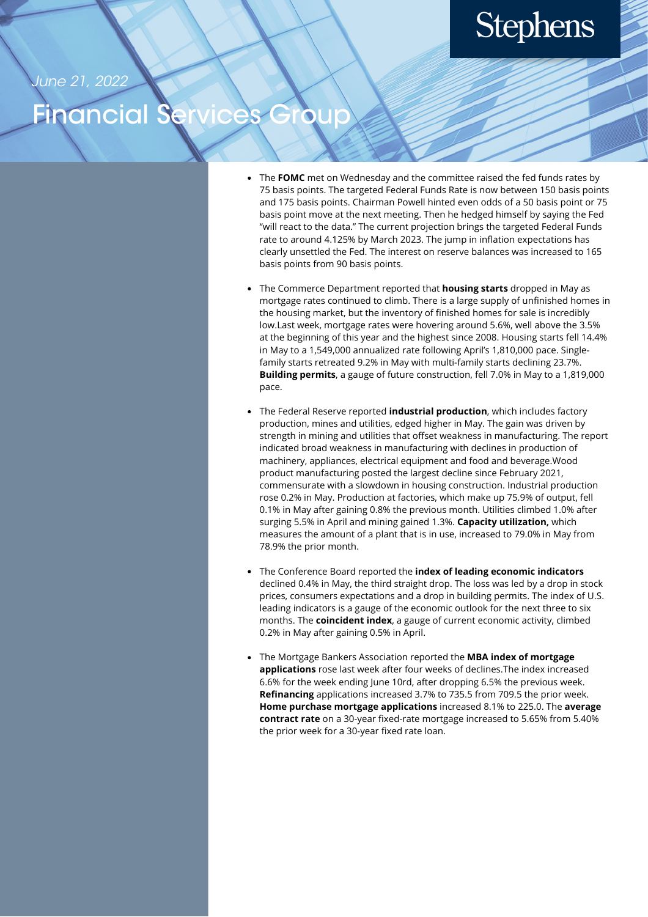## **Stephens**

June 21, 2022

## nancial

- The FOMC met on Wednesday and the committee raised the fed funds rates by 75 basis points. The targeted Federal Funds Rate is now between 150 basis points and 175 basis points. Chairman Powell hinted even odds of a 50 basis point or 75 basis point move at the next meeting. Then he hedged himself by saying the Fed "will react to the data." The current projection brings the targeted Federal Funds rate to around 4.125% by March 2023. The jump in inflation expectations has clearly unsettled the Fed. The interest on reserve balances was increased to 165 basis points from 90 basis points.
- The Commerce Department reported that **housing starts** dropped in May as mortgage rates continued to climb. There is a large supply of unfinished homes in the housing market, but the inventory of finished homes for sale is incredibly low.Last week, mortgage rates were hovering around 5.6%, well above the 3.5% at the beginning of this year and the highest since 2008. Housing starts fell 14.4% in May to a 1,549,000 annualized rate following April's 1,810,000 pace. Singlefamily starts retreated 9.2% in May with multi-family starts declining 23.7%. **Building permits**, a gauge of future construction, fell 7.0% in May to a 1,819,000 pace.
- The Federal Reserve reported **industrial production**, which includes factory production, mines and utilities, edged higher in May. The gain was driven by strength in mining and utilities that offset weakness in manufacturing. The report indicated broad weakness in manufacturing with declines in production of machinery, appliances, electrical equipment and food and beverage.Wood product manufacturing posted the largest decline since February 2021, commensurate with a slowdown in housing construction. Industrial production rose 0.2% in May. Production at factories, which make up 75.9% of output, fell 0.1% in May after gaining 0.8% the previous month. Utilities climbed 1.0% after surging 5.5% in April and mining gained 1.3%. **Capacity utilization,** which measures the amount of a plant that is in use, increased to 79.0% in May from 78.9% the prior month.
- The Conference Board reported the **index of leading economic indicators** declined 0.4% in May, the third straight drop. The loss was led by a drop in stock prices, consumers expectations and a drop in building permits. The index of U.S. leading indicators is a gauge of the economic outlook for the next three to six months. The **coincident index**, a gauge of current economic activity, climbed 0.2% in May after gaining 0.5% in April.
- The Mortgage Bankers Association reported the **MBA index of mortgage applications** rose last week after four weeks of declines.The index increased 6.6% for the week ending June 10rd, after dropping 6.5% the previous week. **Refinancing** applications increased 3.7% to 735.5 from 709.5 the prior week. **Home purchase mortgage applications** increased 8.1% to 225.0. The **average contract rate** on a 30-year fixed-rate mortgage increased to 5.65% from 5.40% the prior week for a 30-year fixed rate loan.